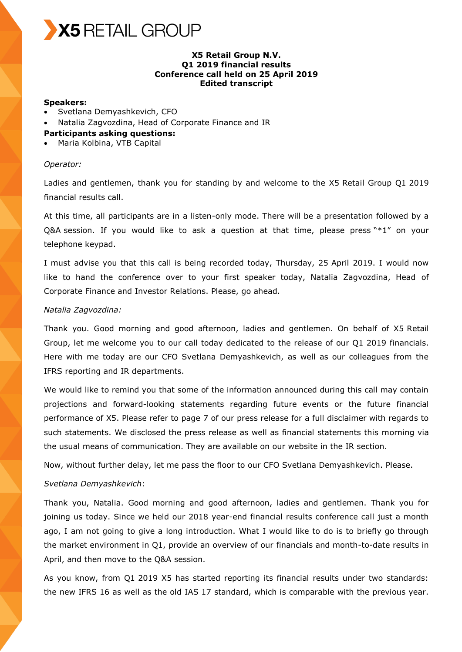

# **X5 Retail Group N.V. Q1 2019 financial results Conference call held on 25 April 2019 Edited transcript**

#### **Speakers:**

- Svetlana Demyashkevich, CFO
- Natalia Zagvozdina, Head of Corporate Finance and IR
- **Participants asking questions:**
- Maria Kolbina, VTB Capital

### *Operator:*

Ladies and gentlemen, thank you for standing by and welcome to the X5 Retail Group Q1 2019 financial results call.

At this time, all participants are in a listen-only mode. There will be a presentation followed by a Q&A session. If you would like to ask a question at that time, please press  $**1"$  on your telephone keypad.

I must advise you that this call is being recorded today, Thursday, 25 April 2019. I would now like to hand the conference over to your first speaker today, Natalia Zagvozdina, Head of Corporate Finance and Investor Relations. Please, go ahead.

#### *Natalia Zagvozdina:*

Thank you. Good morning and good afternoon, ladies and gentlemen. On behalf of X5 Retail Group, let me welcome you to our call today dedicated to the release of our Q1 2019 financials. Here with me today are our CFO Svetlana Demyashkevich, as well as our colleagues from the IFRS reporting and IR departments.

We would like to remind you that some of the information announced during this call may contain projections and forward-looking statements regarding future events or the future financial performance of X5. Please refer to page 7 of our press release for a full disclaimer with regards to such statements. We disclosed the press release as well as financial statements this morning via the usual means of communication. They are available on our website in the IR section.

Now, without further delay, let me pass the floor to our CFO Svetlana Demyashkevich. Please.

#### *Svetlana Demyashkevich*:

Thank you, Natalia. Good morning and good afternoon, ladies and gentlemen. Thank you for joining us today. Since we held our 2018 year-end financial results conference call just a month ago, I am not going to give a long introduction. What I would like to do is to briefly go through the market environment in Q1, provide an overview of our financials and month-to-date results in April, and then move to the Q&A session.

As you know, from Q1 2019 X5 has started reporting its financial results under two standards: the new IFRS 16 as well as the old IAS 17 standard, which is comparable with the previous year.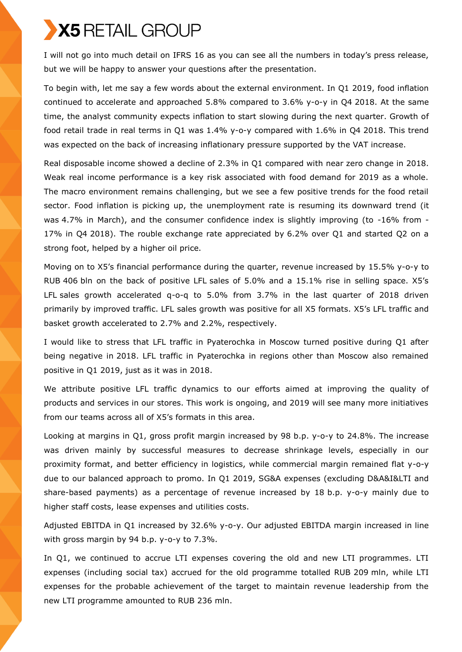# X5 RETAIL GROUP

I will not go into much detail on IFRS 16 as you can see all the numbers in today's press release, but we will be happy to answer your questions after the presentation.

To begin with, let me say a few words about the external environment. In Q1 2019, food inflation continued to accelerate and approached 5.8% compared to 3.6% y-o-y in Q4 2018. At the same time, the analyst community expects inflation to start slowing during the next quarter. Growth of food retail trade in real terms in Q1 was 1.4% y-o-y compared with 1.6% in Q4 2018. This trend was expected on the back of increasing inflationary pressure supported by the VAT increase.

Real disposable income showed a decline of 2.3% in Q1 compared with near zero change in 2018. Weak real income performance is a key risk associated with food demand for 2019 as a whole. The macro environment remains challenging, but we see a few positive trends for the food retail sector. Food inflation is picking up, the unemployment rate is resuming its downward trend (it was 4.7% in March), and the consumer confidence index is slightly improving (to -16% from - 17% in Q4 2018). The rouble exchange rate appreciated by 6.2% over Q1 and started Q2 on a strong foot, helped by a higher oil price.

Moving on to X5's financial performance during the quarter, revenue increased by 15.5% y-o-y to RUB 406 bln on the back of positive LFL sales of 5.0% and a 15.1% rise in selling space. X5's LFL sales growth accelerated q-o-q to 5.0% from 3.7% in the last quarter of 2018 driven primarily by improved traffic. LFL sales growth was positive for all X5 formats. X5's LFL traffic and basket growth accelerated to 2.7% and 2.2%, respectively.

I would like to stress that LFL traffic in Pyaterochka in Moscow turned positive during Q1 after being negative in 2018. LFL traffic in Pyaterochka in regions other than Moscow also remained positive in Q1 2019, just as it was in 2018.

We attribute positive LFL traffic dynamics to our efforts aimed at improving the quality of products and services in our stores. This work is ongoing, and 2019 will see many more initiatives from our teams across all of X5's formats in this area.

Looking at margins in Q1, gross profit margin increased by 98 b.p. y-o-y to 24.8%. The increase was driven mainly by successful measures to decrease shrinkage levels, especially in our proximity format, and better efficiency in logistics, while commercial margin remained flat y-o-y due to our balanced approach to promo. In Q1 2019, SG&A expenses (excluding D&A&I&LTI and share-based payments) as a percentage of revenue increased by 18 b.p. y-o-y mainly due to higher staff costs, lease expenses and utilities costs.

Adjusted EBITDA in Q1 increased by 32.6% y-o-y. Our adjusted EBITDA margin increased in line with gross margin by 94 b.p. y-o-y to 7.3%.

In Q1, we continued to accrue LTI expenses covering the old and new LTI programmes. LTI expenses (including social tax) accrued for the old programme totalled RUB 209 mln, while LTI expenses for the probable achievement of the target to maintain revenue leadership from the new LTI programme amounted to RUB 236 mln.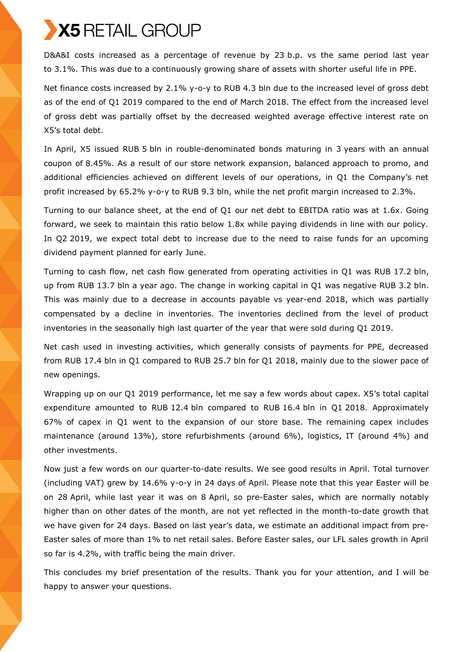# X5 RETAIL GROUP

D&A&I costs increased as a percentage of revenue by 23 b.p. vs the same period last year to 3.1%. This was due to a continuously growing share of assets with shorter useful life in PPE.

Net finance costs increased by 2.1% y-o-y to RUB 4.3 bln due to the increased level of gross debt as of the end of Q1 2019 compared to the end of March 2018. The effect from the increased level of gross debt was partially offset by the decreased weighted average effective interest rate on X5's total debt.

In April, X5 issued RUB 5 bln in rouble-denominated bonds maturing in 3 years with an annual coupon of 8.45%. As a result of our store network expansion, balanced approach to promo, and additional efficiencies achieved on different levels of our operations, in Q1 the Company's net profit increased by 65.2% y-o-y to RUB 9.3 bln, while the net profit margin increased to 2.3%.

Turning to our balance sheet, at the end of Q1 our net debt to EBITDA ratio was at 1.6x. Going forward, we seek to maintain this ratio below 1.8x while paying dividends in line with our policy. In Q2 2019, we expect total debt to increase due to the need to raise funds for an upcoming dividend payment planned for early June.

Turning to cash flow, net cash flow generated from operating activities in Q1 was RUB 17.2 bln, up from RUB 13.7 bln a year ago. The change in working capital in Q1 was negative RUB 3.2 bln. This was mainly due to a decrease in accounts payable vs year-end 2018, which was partially compensated by a decline in inventories. The inventories declined from the level of product inventories in the seasonally high last quarter of the year that were sold during Q1 2019.

Net cash used in investing activities, which generally consists of payments for PPE, decreased from RUB 17.4 bln in Q1 compared to RUB 25.7 bln for Q1 2018, mainly due to the slower pace of new openings.

Wrapping up on our Q1 2019 performance, let me say a few words about capex. X5's total capital expenditure amounted to RUB 12.4 bln compared to RUB 16.4 bln in Q1 2018. Approximately 67% of capex in Q1 went to the expansion of our store base. The remaining capex includes maintenance (around 13%), store refurbishments (around 6%), logistics, IT (around 4%) and other investments.

Now just a few words on our quarter-to-date results. We see good results in April. Total turnover (including VAT) grew by 14.6% y-o-y in 24 days of April. Please note that this year Easter will be on 28 April, while last year it was on 8 April, so pre-Easter sales, which are normally notably higher than on other dates of the month, are not yet reflected in the month-to-date growth that we have given for 24 days. Based on last year's data, we estimate an additional impact from pre-Easter sales of more than 1% to net retail sales. Before Easter sales, our LFL sales growth in April so far is 4.2%, with traffic being the main driver.

This concludes my brief presentation of the results. Thank you for your attention, and I will be happy to answer your questions.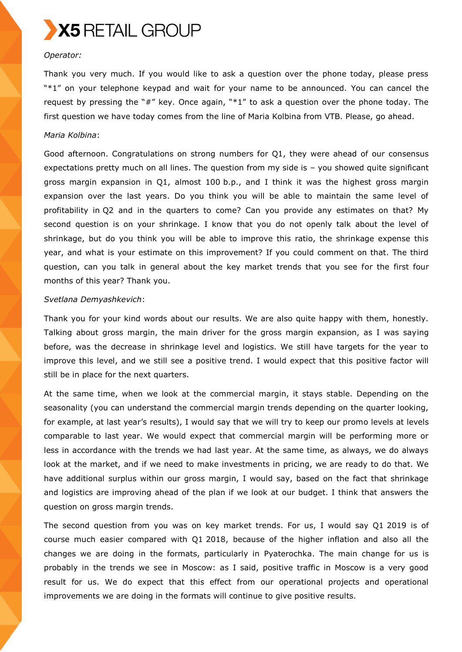

# *Operator:*

Thank you very much. If you would like to ask a question over the phone today, please press "\*1" on your telephone keypad and wait for your name to be announced. You can cancel the request by pressing the "#" key. Once again, "\*1" to ask a question over the phone today. The first question we have today comes from the line of Maria Kolbina from VTB. Please, go ahead.

#### *Maria Kolbina*:

Good afternoon. Congratulations on strong numbers for Q1, they were ahead of our consensus expectations pretty much on all lines. The question from my side is – you showed quite significant gross margin expansion in Q1, almost 100 b.p., and I think it was the highest gross margin expansion over the last years. Do you think you will be able to maintain the same level of profitability in Q2 and in the quarters to come? Can you provide any estimates on that? My second question is on your shrinkage. I know that you do not openly talk about the level of shrinkage, but do you think you will be able to improve this ratio, the shrinkage expense this year, and what is your estimate on this improvement? If you could comment on that. The third question, can you talk in general about the key market trends that you see for the first four months of this year? Thank you.

#### *Svetlana Demyashkevich*:

Thank you for your kind words about our results. We are also quite happy with them, honestly. Talking about gross margin, the main driver for the gross margin expansion, as I was saying before, was the decrease in shrinkage level and logistics. We still have targets for the year to improve this level, and we still see a positive trend. I would expect that this positive factor will still be in place for the next quarters.

At the same time, when we look at the commercial margin, it stays stable. Depending on the seasonality (you can understand the commercial margin trends depending on the quarter looking, for example, at last year's results), I would say that we will try to keep our promo levels at levels comparable to last year. We would expect that commercial margin will be performing more or less in accordance with the trends we had last year. At the same time, as always, we do always look at the market, and if we need to make investments in pricing, we are ready to do that. We have additional surplus within our gross margin, I would say, based on the fact that shrinkage and logistics are improving ahead of the plan if we look at our budget. I think that answers the question on gross margin trends.

The second question from you was on key market trends. For us, I would say Q1 2019 is of course much easier compared with Q1 2018, because of the higher inflation and also all the changes we are doing in the formats, particularly in Pyaterochka. The main change for us is probably in the trends we see in Moscow: as I said, positive traffic in Moscow is a very good result for us. We do expect that this effect from our operational projects and operational improvements we are doing in the formats will continue to give positive results.